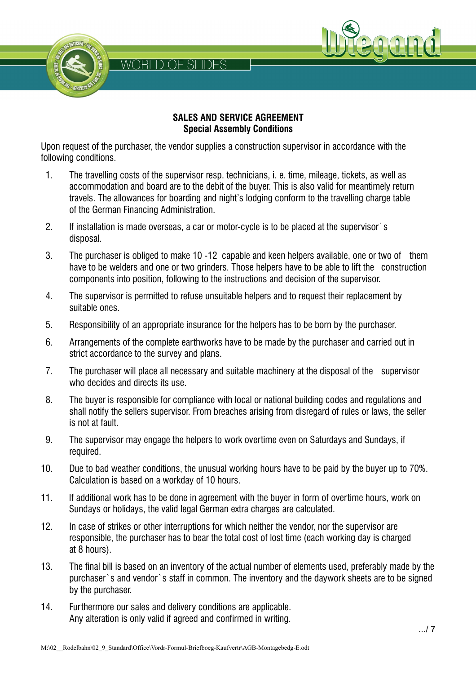



Upon request of the purchaser, the vendor supplies a construction supervisor in accordance with the following conditions.

WORLD OF SLIDES

- 1. The travelling costs of the supervisor resp. technicians, i. e. time, mileage, tickets, as well as accommodation and board are to the debit of the buyer. This is also valid for meantimely return travels. The allowances for boarding and night's lodging conform to the travelling charge table of the German Financing Administration.
- 2. If installation is made overseas, a car or motor-cycle is to be placed at the supervisor`s disposal.
- 3. The purchaser is obliged to make 10 -12 capable and keen helpers available, one or two of them have to be welders and one or two grinders. Those helpers have to be able to lift the construction components into position, following to the instructions and decision of the supervisor.
- 4. The supervisor is permitted to refuse unsuitable helpers and to request their replacement by suitable ones.
- 5. Responsibility of an appropriate insurance for the helpers has to be born by the purchaser.
- 6. Arrangements of the complete earthworks have to be made by the purchaser and carried out in strict accordance to the survey and plans.
- 7. The purchaser will place all necessary and suitable machinery at the disposal of the supervisor who decides and directs its use.
- 8. The buyer is responsible for compliance with local or national building codes and regulations and shall notify the sellers supervisor. From breaches arising from disregard of rules or laws, the seller is not at fault.
- 9. The supervisor may engage the helpers to work overtime even on Saturdays and Sundays, if required.
- 10. Due to bad weather conditions, the unusual working hours have to be paid by the buyer up to 70%. Calculation is based on a workday of 10 hours.
- 11. If additional work has to be done in agreement with the buyer in form of overtime hours, work on Sundays or holidays, the valid legal German extra charges are calculated.
- 12. In case of strikes or other interruptions for which neither the vendor, nor the supervisor are responsible, the purchaser has to bear the total cost of lost time (each working day is charged at 8 hours).
- 13. The final bill is based on an inventory of the actual number of elements used, preferably made by the purchaser`s and vendor`s staff in common. The inventory and the daywork sheets are to be signed by the purchaser.
- 14. Furthermore our sales and delivery conditions are applicable. Any alteration is only valid if agreed and confirmed in writing.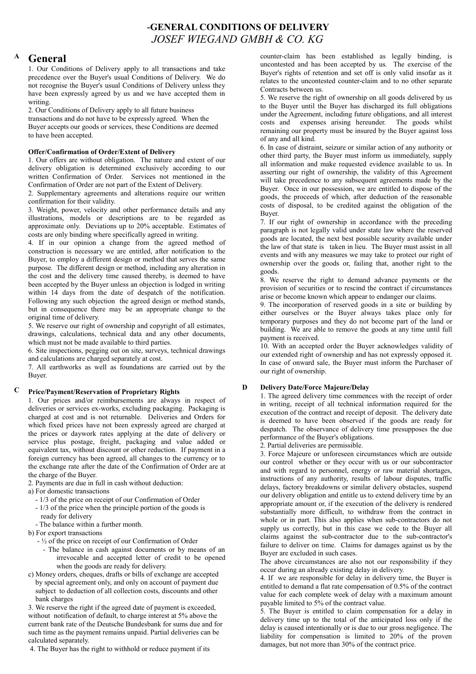# **-GENERAL CONDITIONS OF DELIVERY** *JOSEF WIEGAND GMBH & CO. KG*

## **A General**

1. Our Conditions of Delivery apply to all transactions and take precedence over the Buyer's usual Conditions of Delivery. We do not recognise the Buyer's usual Conditions of Delivery unless they have been expressly agreed by us and we have accepted them in writing.

2. Our Conditions of Delivery apply to all future business transactions and do not have to be expressly agreed. When the Buyer accepts our goods or services, these Conditions are deemed to have been accepted.

## **Offer/Confirmation of Order/Extent of Delivery**

1. Our offers are without obligation. The nature and extent of our delivery obligation is determined exclusively according to our written Confirmation of Order. Services not mentioned in the Confirmation of Order are not part of the Extent of Delivery.

2. Supplementary agreements and alterations require our written confirmation for their validity.

3. Weight, power, velocity and other performance details and any illustrations, models or descriptions are to be regarded as approximate only. Deviations up to 20% acceptable. Estimates of costs are only binding where specifically agreed in writing.

4. If in our opinion a change from the agreed method of construction is necessary we are entitled, after notification to the Buyer, to employ a different design or method that serves the same purpose. The different design or method, including any alteration in the cost and the delivery time caused thereby, is deemed to have been accepted by the Buyer unless an objection is lodged in writing within 14 days from the date of despatch of the notification. Following any such objection the agreed design or method stands, but in consequence there may be an appropriate change to the original time of delivery.

5. We reserve our right of ownership and copyright of all estimates, drawings, calculations, technical data and any other documents, which must not be made available to third parties.

6. Site inspections, pegging out on site, surveys, technical drawings and calculations are charged separately at cost.

7. All earthworks as well as foundations are carried out by the Buyer.

#### **C Price/Payment/Reservation of Proprietary Rights**

1. Our prices and/or reimbursements are always in respect of deliveries or services ex-works, excluding packaging. Packaging is charged at cost and is not returnable. Deliveries and Orders for which fixed prices have not been expressly agreed are charged at the prices or daywork rates applying at the date of delivery or service plus postage, freight, packaging and value added or equivalent tax, without discount or other reduction. If payment in a foreign currency has been agreed, all changes to the currency or to the exchange rate after the date of the Confirmation of Order are at the charge of the Buyer.

2. Payments are due in full in cash without deduction:

- a) For domestic transactions
	- 1/3 of the price on receipt of our Confirmation of Order
	- 1/3 of the price when the principle portion of the goods is ready for delivery
- The balance within a further month.

b) For export transactions

- ½ of the price on receipt of our Confirmation of Order
	- The balance in cash against documents or by means of an irrevocable and accepted letter of credit to be opened when the goods are ready for delivery.
- c) Money orders, cheques, drafts or bills of exchange are accepted by special agreement only, and only on account of payment due subject to deduction of all collection costs, discounts and other bank charges

3. We reserve the right if the agreed date of payment is exceeded, without notification of default, to charge interest at 5% above the current bank rate of the Deutsche Bundesbank for sums due and for such time as the payment remains unpaid. Partial deliveries can be calculated separately.

4. The Buyer has the right to withhold or reduce payment if its

counter-claim has been established as legally binding, is uncontested and has been accepted by us. The exercise of the Buyer's rights of retention and set off is only valid insofar as it relates to the uncontested counter-claim and to no other separate Contracts between us.

5. We reserve the right of ownership on all goods delivered by us to the Buyer until the Buyer has discharged its full obligations under the Agreement, including future obligations, and all interest costs and expenses arising hereunder. The goods whilst remaining our property must be insured by the Buyer against loss of any and all kind.

6. In case of distraint, seizure or similar action of any authority or other third party, the Buyer must inform us immediately, supply all information and make requested evidence available to us. In asserting our right of ownership, the validity of this Agreement will take precedence to any subsequent agreements made by the Buyer. Once in our possession, we are entitled to dispose of the goods, the proceeds of which, after deduction of the reasonable costs of disposal, to be credited against the obligation of the Buyer.

7. If our right of ownership in accordance with the preceding paragraph is not legally valid under state law where the reserved goods are located, the next best possible security available under the law of that state is taken in lieu. The Buyer must assist in all events and with any measures we may take to protect our right of ownership over the goods or, failing that, another right to the goods.

8. We reserve the right to demand advance payments or the provision of securities or to rescind the contract if circumstances arise or become known which appear to endanger our claims.

9. The incorporation of reserved goods in a site or building by either ourselves or the Buyer always takes place only for temporary purposes and they do not become part of the land or building. We are able to remove the goods at any time until full payment is received.

10. With an accepted order the Buyer acknowledges validity of our extended right of ownership and has not expressly opposed it. In case of onward sale, the Buyer must inform the Purchaser of our right of ownership.

#### **D Delivery Date/Force Majeure/Delay**

1. The agreed delivery time commences with the receipt of order in writing, receipt of all technical information required for the execution of the contract and receipt of deposit. The delivery date is deemed to have been observed if the goods are ready for despatch. The observance of delivery time presupposes the due performance of the Buyer's obligations.

2. Partial deliveries are permissible.

3. Force Majeure or unforeseen circumstances which are outside our control whether or they occur with us or our subcontractor and with regard to personnel, energy or raw material shortages, instructions of any authority, results of labour disputes, traffic delays, factory breakdowns or similar delivery obstacles, suspend our delivery obligation and entitle us to extend delivery time by an appropriate amount or, if the execution of the delivery is rendered substantially more difficult, to withdraw from the contract in whole or in part. This also applies when sub-contractors do not supply us correctly, but in this case we cede to the Buyer all claims against the sub-contractor due to the sub-contractor's failure to deliver on time. Claims for damages against us by the Buyer are excluded in such cases.

The above circumstances are also not our responsibility if they occur during an already existing delay in delivery.

4. If we are responsible for delay in delivery time, the Buyer is entitled to demand a flat rate compensation of 0.5% of the contract value for each complete week of delay with a maximum amount payable limited to 5% of the contract value.

5. The Buyer is entitled to claim compensation for a delay in delivery time up to the total of the anticipated loss only if the delay is caused intentionally or is due to our gross negligence. The liability for compensation is limited to 20% of the proven damages, but not more than 30% of the contract price.